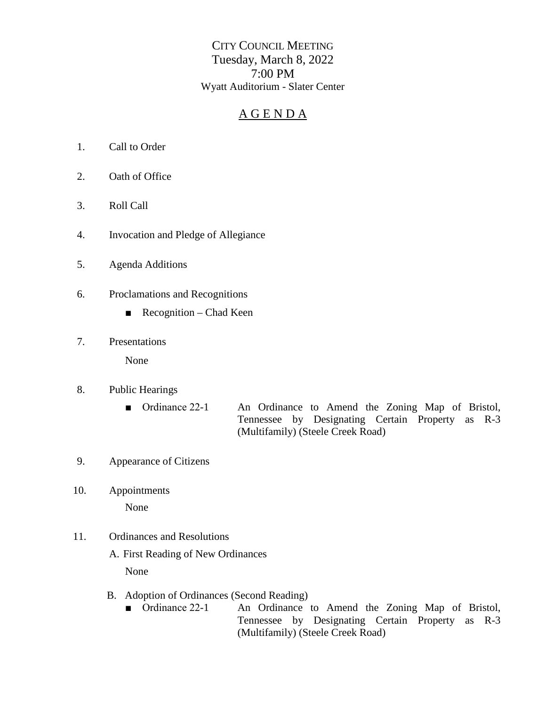CITY COUNCIL MEETING Tuesday, March 8, 2022 7:00 PM Wyatt Auditorium - Slater Center

## A G E N D A

- 1. Call to Order
- 2. Oath of Office
- 3. Roll Call
- 4. Invocation and Pledge of Allegiance
- 5. Agenda Additions
- 6. Proclamations and Recognitions
	- $\blacksquare$  Recognition Chad Keen
- 7. Presentations

None

- 8. Public Hearings
	- Ordinance 22-1 An Ordinance to Amend the Zoning Map of Bristol, Tennessee by Designating Certain Property as R-3 (Multifamily) (Steele Creek Road)
- 9. Appearance of Citizens
- 10. Appointments

None

- 11. Ordinances and Resolutions
	- A. First Reading of New Ordinances

None

- B. Adoption of Ordinances (Second Reading)<br>
Ordinance 22-1 An Ordinance
	- An Ordinance to Amend the Zoning Map of Bristol, Tennessee by Designating Certain Property as R-3 (Multifamily) (Steele Creek Road)